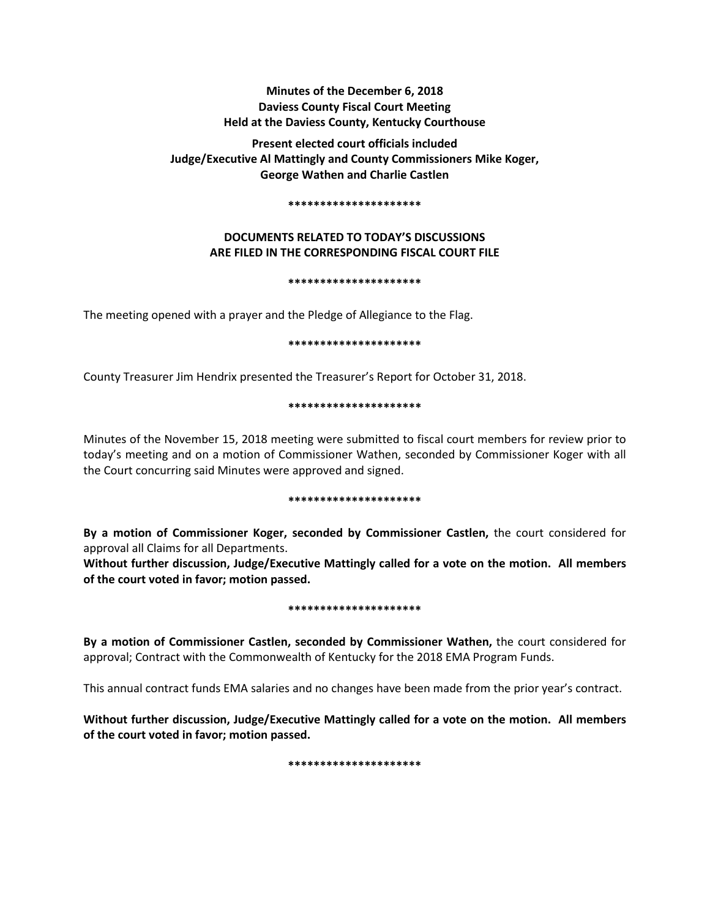# **Minutes of the December 6, 2018 Daviess County Fiscal Court Meeting Held at the Daviess County, Kentucky Courthouse**

**Present elected court officials included Judge/Executive Al Mattingly and County Commissioners Mike Koger, George Wathen and Charlie Castlen** 

#### **\*\*\*\*\*\*\*\*\*\*\*\*\*\*\*\*\*\*\*\*\***

# **DOCUMENTS RELATED TO TODAY'S DISCUSSIONS ARE FILED IN THE CORRESPONDING FISCAL COURT FILE**

#### **\*\*\*\*\*\*\*\*\*\*\*\*\*\*\*\*\*\*\*\*\***

The meeting opened with a prayer and the Pledge of Allegiance to the Flag.

### **\*\*\*\*\*\*\*\*\*\*\*\*\*\*\*\*\*\*\*\*\***

County Treasurer Jim Hendrix presented the Treasurer's Report for October 31, 2018.

### **\*\*\*\*\*\*\*\*\*\*\*\*\*\*\*\*\*\*\*\*\***

Minutes of the November 15, 2018 meeting were submitted to fiscal court members for review prior to today's meeting and on a motion of Commissioner Wathen, seconded by Commissioner Koger with all the Court concurring said Minutes were approved and signed.

#### **\*\*\*\*\*\*\*\*\*\*\*\*\*\*\*\*\*\*\*\*\***

**By a motion of Commissioner Koger, seconded by Commissioner Castlen,** the court considered for approval all Claims for all Departments.

**Without further discussion, Judge/Executive Mattingly called for a vote on the motion. All members of the court voted in favor; motion passed.** 

#### **\*\*\*\*\*\*\*\*\*\*\*\*\*\*\*\*\*\*\*\*\***

**By a motion of Commissioner Castlen, seconded by Commissioner Wathen,** the court considered for approval; Contract with the Commonwealth of Kentucky for the 2018 EMA Program Funds.

This annual contract funds EMA salaries and no changes have been made from the prior year's contract.

**Without further discussion, Judge/Executive Mattingly called for a vote on the motion. All members of the court voted in favor; motion passed.** 

**\*\*\*\*\*\*\*\*\*\*\*\*\*\*\*\*\*\*\*\*\***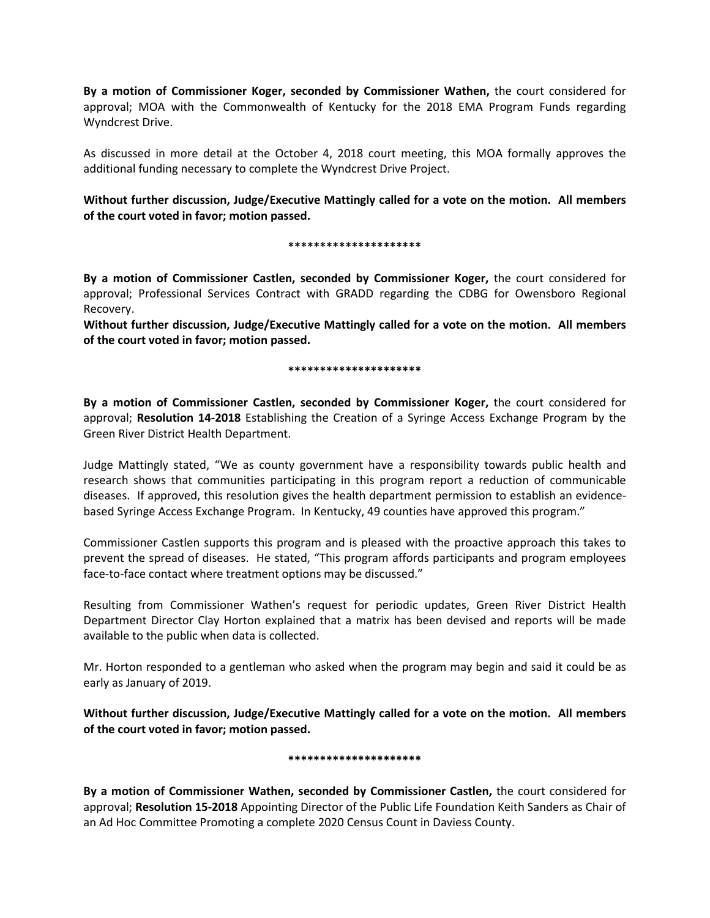**By a motion of Commissioner Koger, seconded by Commissioner Wathen,** the court considered for approval; MOA with the Commonwealth of Kentucky for the 2018 EMA Program Funds regarding Wyndcrest Drive.

As discussed in more detail at the October 4, 2018 court meeting, this MOA formally approves the additional funding necessary to complete the Wyndcrest Drive Project.

**Without further discussion, Judge/Executive Mattingly called for a vote on the motion. All members of the court voted in favor; motion passed.** 

### **\*\*\*\*\*\*\*\*\*\*\*\*\*\*\*\*\*\*\*\*\***

**By a motion of Commissioner Castlen, seconded by Commissioner Koger,** the court considered for approval; Professional Services Contract with GRADD regarding the CDBG for Owensboro Regional Recovery.

**Without further discussion, Judge/Executive Mattingly called for a vote on the motion. All members of the court voted in favor; motion passed.** 

### **\*\*\*\*\*\*\*\*\*\*\*\*\*\*\*\*\*\*\*\*\***

**By a motion of Commissioner Castlen, seconded by Commissioner Koger,** the court considered for approval; **Resolution 14-2018** Establishing the Creation of a Syringe Access Exchange Program by the Green River District Health Department.

Judge Mattingly stated, "We as county government have a responsibility towards public health and research shows that communities participating in this program report a reduction of communicable diseases. If approved, this resolution gives the health department permission to establish an evidencebased Syringe Access Exchange Program. In Kentucky, 49 counties have approved this program."

Commissioner Castlen supports this program and is pleased with the proactive approach this takes to prevent the spread of diseases. He stated, "This program affords participants and program employees face-to-face contact where treatment options may be discussed."

Resulting from Commissioner Wathen's request for periodic updates, Green River District Health Department Director Clay Horton explained that a matrix has been devised and reports will be made available to the public when data is collected.

Mr. Horton responded to a gentleman who asked when the program may begin and said it could be as early as January of 2019.

**Without further discussion, Judge/Executive Mattingly called for a vote on the motion. All members of the court voted in favor; motion passed.** 

# **\*\*\*\*\*\*\*\*\*\*\*\*\*\*\*\*\*\*\*\*\***

**By a motion of Commissioner Wathen, seconded by Commissioner Castlen,** the court considered for approval; **Resolution 15-2018** Appointing Director of the Public Life Foundation Keith Sanders as Chair of an Ad Hoc Committee Promoting a complete 2020 Census Count in Daviess County.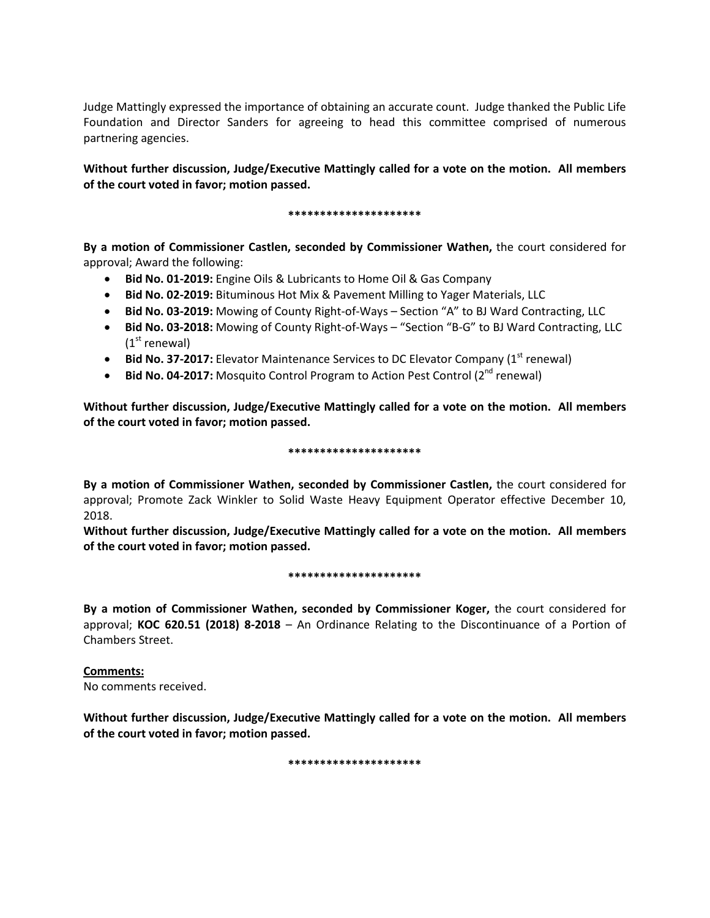Judge Mattingly expressed the importance of obtaining an accurate count. Judge thanked the Public Life Foundation and Director Sanders for agreeing to head this committee comprised of numerous partnering agencies.

**Without further discussion, Judge/Executive Mattingly called for a vote on the motion. All members of the court voted in favor; motion passed.** 

### **\*\*\*\*\*\*\*\*\*\*\*\*\*\*\*\*\*\*\*\*\***

**By a motion of Commissioner Castlen, seconded by Commissioner Wathen,** the court considered for approval; Award the following:

- **Bid No. 01-2019:** Engine Oils & Lubricants to Home Oil & Gas Company
- **Bid No. 02-2019:** Bituminous Hot Mix & Pavement Milling to Yager Materials, LLC
- **Bid No. 03-2019:** Mowing of County Right-of-Ways Section "A" to BJ Ward Contracting, LLC
- **Bid No. 03-2018:** Mowing of County Right-of-Ways "Section "B-G" to BJ Ward Contracting, LLC  $(1<sup>st</sup>$  renewal)
- **Bid No. 37-2017:** Elevator Maintenance Services to DC Elevator Company (1<sup>st</sup> renewal)
- **Bid No. 04-2017:** Mosquito Control Program to Action Pest Control (2<sup>nd</sup> renewal)

**Without further discussion, Judge/Executive Mattingly called for a vote on the motion. All members of the court voted in favor; motion passed.** 

### **\*\*\*\*\*\*\*\*\*\*\*\*\*\*\*\*\*\*\*\*\***

**By a motion of Commissioner Wathen, seconded by Commissioner Castlen,** the court considered for approval; Promote Zack Winkler to Solid Waste Heavy Equipment Operator effective December 10, 2018.

**Without further discussion, Judge/Executive Mattingly called for a vote on the motion. All members of the court voted in favor; motion passed.** 

#### **\*\*\*\*\*\*\*\*\*\*\*\*\*\*\*\*\*\*\*\*\***

**By a motion of Commissioner Wathen, seconded by Commissioner Koger,** the court considered for approval; **KOC 620.51 (2018) 8-2018** – An Ordinance Relating to the Discontinuance of a Portion of Chambers Street.

# **Comments:**

No comments received.

**Without further discussion, Judge/Executive Mattingly called for a vote on the motion. All members of the court voted in favor; motion passed.** 

**\*\*\*\*\*\*\*\*\*\*\*\*\*\*\*\*\*\*\*\*\***